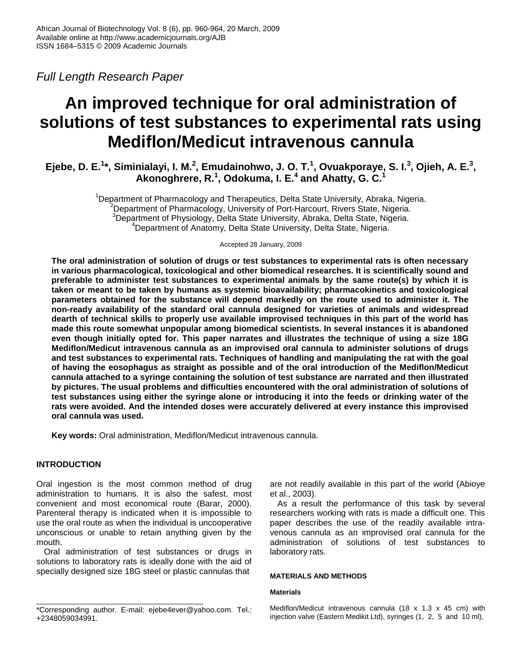*Full Length Research Paper* 

# **An improved technique for oral administration of solutions of test substances to experimental rats using Mediflon/Medicut intravenous cannula**

**Ejebe, D. E.<sup>1</sup>\*, Siminialayi, I. M.<sup>2</sup>, Emudainohwo, J. O. T.<sup>1</sup>, Ovuakporaye, S. I.<sup>3</sup>, Ojieh, A. E.<sup>3</sup>, Akonoghrere, R.<sup>1</sup> , Odokuma, I. E.<sup>4</sup> and Ahatty, G. C.<sup>1</sup>**

> <sup>1</sup>Department of Pharmacology and Therapeutics, Delta State University, Abraka, Nigeria.  $2$ Department of Pharmacology, University of Port-Harcourt, Rivers State, Nigeria. <sup>3</sup>Department of Physiology, Delta State University, Abraka, Delta State, Nigeria. <sup>4</sup>Department of Anatomy, Delta State University, Delta State, Nigeria.

> > Accepted 28 January, 2009

**The oral administration of solution of drugs or test substances to experimental rats is often necessary in various pharmacological, toxicological and other biomedical researches. It is scientifically sound and preferable to administer test substances to experimental animals by the same route(s) by which it is taken or meant to be taken by humans as systemic bioavailability; pharmacokinetics and toxicological parameters obtained for the substance will depend markedly on the route used to administer it. The non-ready availability of the standard oral cannula designed for varieties of animals and widespread dearth of technical skills to properly use available improvised techniques in this part of the world has made this route somewhat unpopular among biomedical scientists. In several instances it is abandoned even though initially opted for. This paper narrates and illustrates the technique of using a size 18G Mediflon/Medicut intravenous cannula as an improvised oral cannula to administer solutions of drugs and test substances to experimental rats. Techniques of handling and manipulating the rat with the goal of having the eosophagus as straight as possible and of the oral introduction of the Mediflon/Medicut cannula attached to a syringe containing the solution of test substance are narrated and then illustrated by pictures. The usual problems and difficulties encountered with the oral administration of solutions of test substances using either the syringe alone or introducing it into the feeds or drinking water of the rats were avoided. And the intended doses were accurately delivered at every instance this improvised oral cannula was used.** 

**Key words:** Oral administration, Mediflon/Medicut intravenous cannula.

## **INTRODUCTION**

Oral ingestion is the most common method of drug administration to humans. It is also the safest, most convenient and most economical route (Barar, 2000). Parenteral therapy is indicated when it is impossible to use the oral route as when the individual is uncooperative unconscious or unable to retain anything given by the mouth.

Oral administration of test substances or drugs in solutions to laboratory rats is ideally done with the aid of specially designed size 18G steel or plastic cannulas that

are not readily available in this part of the world (Abioye et al., 2003).

As a result the performance of this task by several researchers working with rats is made a difficult one. This paper describes the use of the readily available intravenous cannula as an improvised oral cannula for the administration of solutions of test substances to laboratory rats.

### **MATERIALS AND METHODS**

#### **Materials**

Mediflon/Medicut intravenous cannula (18 x 1.3 x 45 cm) with injection valve (Eastern Medikit Ltd), syringes (1, 2, 5 and 10 ml),

<sup>\*</sup>Corresponding author. E-mail: ejebe4ever@yahoo.com. Tel.: +2348059034991.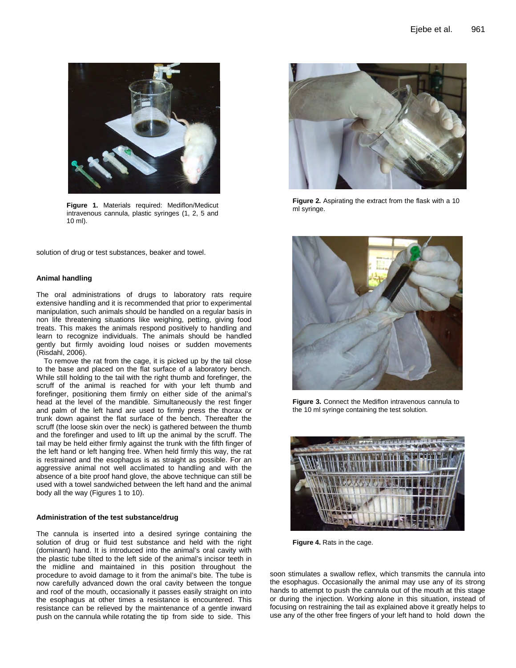

**Figure 1.** Materials required: Mediflon/Medicut intravenous cannula, plastic syringes (1, 2, 5 and 10 ml).

solution of drug or test substances, beaker and towel.

#### **Animal handling**

The oral administrations of drugs to laboratory rats require extensive handling and it is recommended that prior to experimental manipulation, such animals should be handled on a regular basis in non life threatening situations like weighing, petting, giving food treats. This makes the animals respond positively to handling and learn to recognize individuals. The animals should be handled gently but firmly avoiding loud noises or sudden movements (Risdahl, 2006).

To remove the rat from the cage, it is picked up by the tail close to the base and placed on the flat surface of a laboratory bench. While still holding to the tail with the right thumb and forefinger, the scruff of the animal is reached for with your left thumb and forefinger, positioning them firmly on either side of the animal's head at the level of the mandible. Simultaneously the rest finger and palm of the left hand are used to firmly press the thorax or trunk down against the flat surface of the bench. Thereafter the scruff (the loose skin over the neck) is gathered between the thumb and the forefinger and used to lift up the animal by the scruff. The tail may be held either firmly against the trunk with the fifth finger of the left hand or left hanging free. When held firmly this way, the rat is restrained and the esophagus is as straight as possible. For an aggressive animal not well acclimated to handling and with the absence of a bite proof hand glove, the above technique can still be used with a towel sandwiched between the left hand and the animal body all the way (Figures 1 to 10).

#### **Administration of the test substance/drug**

The cannula is inserted into a desired syringe containing the solution of drug or fluid test substance and held with the right (dominant) hand. It is introduced into the animal's oral cavity with the plastic tube tilted to the left side of the animal's incisor teeth in the midline and maintained in this position throughout the procedure to avoid damage to it from the animal's bite. The tube is now carefully advanced down the oral cavity between the tongue and roof of the mouth, occasionally it passes easily straight on into the esophagus at other times a resistance is encountered. This resistance can be relieved by the maintenance of a gentle inward push on the cannula while rotating the tip from side to side. This



**Figure 2.** Aspirating the extract from the flask with a 10 ml syringe.



**Figure 3.** Connect the Mediflon intravenous cannula to the 10 ml syringe containing the test solution.



**Figure 4.** Rats in the cage.

soon stimulates a swallow reflex, which transmits the cannula into the esophagus. Occasionally the animal may use any of its strong hands to attempt to push the cannula out of the mouth at this stage or during the injection. Working alone in this situation, instead of focusing on restraining the tail as explained above it greatly helps to use any of the other free fingers of your left hand to hold down the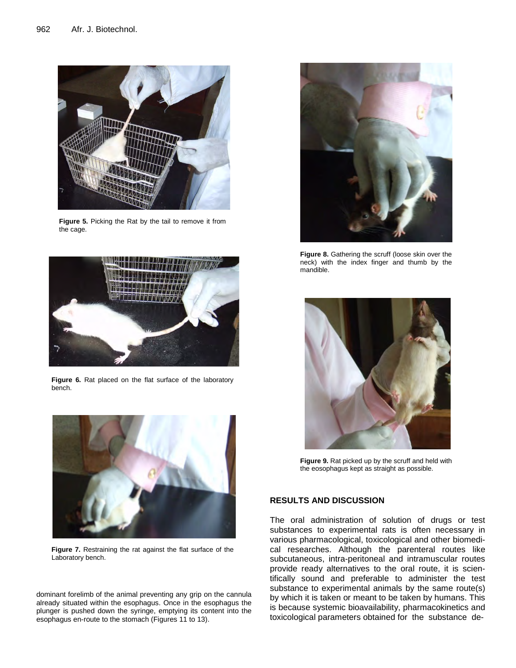

**Figure 5.** Picking the Rat by the tail to remove it from the cage.



**Figure 6.** Rat placed on the flat surface of the laboratory bench.



**Figure 7.** Restraining the rat against the flat surface of the Laboratory bench.

dominant forelimb of the animal preventing any grip on the cannula already situated within the esophagus. Once in the esophagus the plunger is pushed down the syringe, emptying its content into the esophagus en-route to the stomach (Figures 11 to 13).



Figure 8. Gathering the scruff (loose skin over the neck) with the index finger and thumb by the mandible.



**Figure 9.** Rat picked up by the scruff and held with the eosophagus kept as straight as possible.

# **RESULTS AND DISCUSSION**

The oral administration of solution of drugs or test substances to experimental rats is often necessary in various pharmacological, toxicological and other biomedical researches. Although the parenteral routes like subcutaneous, intra-peritoneal and intramuscular routes provide ready alternatives to the oral route, it is scientifically sound and preferable to administer the test substance to experimental animals by the same route(s) by which it is taken or meant to be taken by humans. This is because systemic bioavailability, pharmacokinetics and toxicological parameters obtained for the substance de-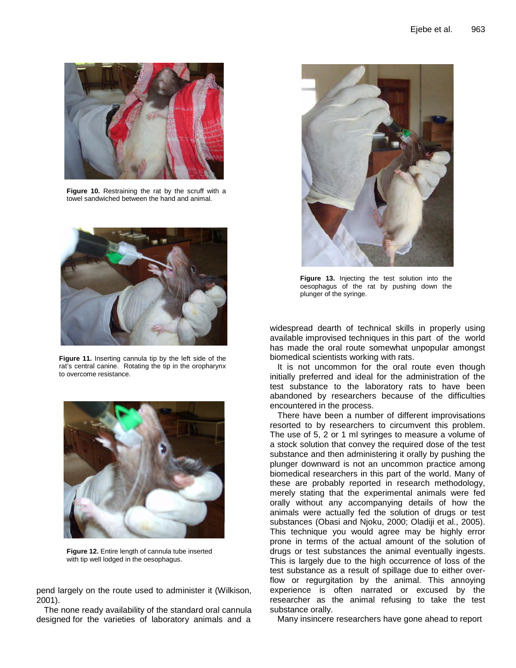

**Figure 10.** Restraining the rat by the scruff with a towel sandwiched between the hand and animal.



**Figure 11.** Inserting cannula tip by the left side of the rat's central canine. Rotating the tip in the oropharynx to overcome resistance.



**Figure 12.** Entire length of cannula tube inserted with tip well lodged in the oesophagus.

pend largely on the route used to administer it (Wilkison, 2001).

The none ready availability of the standard oral cannula designed for the varieties of laboratory animals and a



**Figure 13.** Injecting the test solution into the oesophagus of the rat by pushing down the plunger of the syringe.

widespread dearth of technical skills in properly using available improvised techniques in this part of the world has made the oral route somewhat unpopular amongst biomedical scientists working with rats.

It is not uncommon for the oral route even though initially preferred and ideal for the administration of the test substance to the laboratory rats to have been abandoned by researchers because of the difficulties encountered in the process.

There have been a number of different improvisations resorted to by researchers to circumvent this problem. The use of 5, 2 or 1 ml syringes to measure a volume of a stock solution that convey the required dose of the test substance and then administering it orally by pushing the plunger downward is not an uncommon practice among biomedical researchers in this part of the world. Many of these are probably reported in research methodology, merely stating that the experimental animals were fed orally without any accompanying details of how the animals were actually fed the solution of drugs or test substances (Obasi and Njoku, 2000; Oladiji et al., 2005). This technique you would agree may be highly error prone in terms of the actual amount of the solution of drugs or test substances the animal eventually ingests. This is largely due to the high occurrence of loss of the test substance as a result of spillage due to either overflow or regurgitation by the animal. This annoying experience is often narrated or excused by the researcher as the animal refusing to take the test substance orally.

Many insincere researchers have gone ahead to report